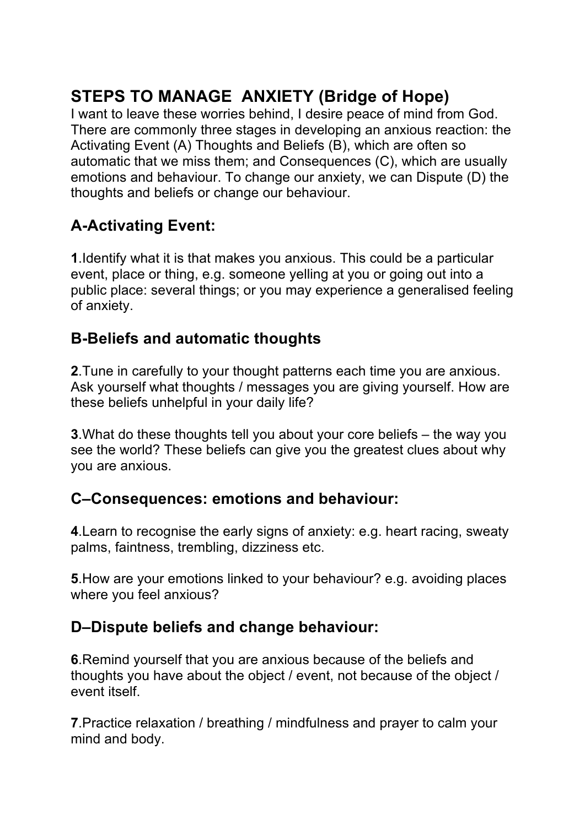# **STEPS TO MANAGE ANXIETY (Bridge of Hope)**

I want to leave these worries behind, I desire peace of mind from God. There are commonly three stages in developing an anxious reaction: the Activating Event (A) Thoughts and Beliefs (B), which are often so automatic that we miss them; and Consequences (C), which are usually emotions and behaviour. To change our anxiety, we can Dispute (D) the thoughts and beliefs or change our behaviour.

## **A-Activating Event:**

**1**.Identify what it is that makes you anxious. This could be a particular event, place or thing, e.g. someone yelling at you or going out into a public place: several things; or you may experience a generalised feeling of anxiety.

### **B-Beliefs and automatic thoughts**

**2**.Tune in carefully to your thought patterns each time you are anxious. Ask yourself what thoughts / messages you are giving yourself. How are these beliefs unhelpful in your daily life?

**3**.What do these thoughts tell you about your core beliefs – the way you see the world? These beliefs can give you the greatest clues about why you are anxious.

### **C–Consequences: emotions and behaviour:**

**4**.Learn to recognise the early signs of anxiety: e.g. heart racing, sweaty palms, faintness, trembling, dizziness etc.

**5**.How are your emotions linked to your behaviour? e.g. avoiding places where you feel anxious?

#### **D–Dispute beliefs and change behaviour:**

**6**.Remind yourself that you are anxious because of the beliefs and thoughts you have about the object / event, not because of the object / event itself.

**7**.Practice relaxation / breathing / mindfulness and prayer to calm your mind and body.